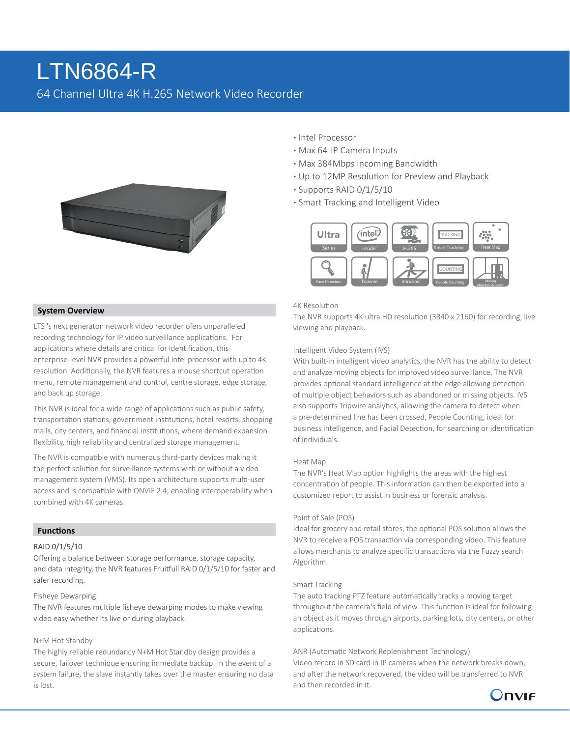# 64 Channel Ultra 4K H.265 Network Video Recorder LTN6864-R



## **System Overview**

LTS 's next generaton network video recorder ofers unparalleled recording technology for IP video surveillance applications. For applications where details are critical for identification, this enterprise-level NVR provides a powerful Intel processor with up to 4K resolution. Additionally, the NVR features a mouse shortcut operation menu, remote management and control, centre storage, edge storage, and back up storage.

This NVR is ideal for a wide range of applications such as public safety, transportation stations, government institutions, hotel resorts, shopping malls, city centers, and financial institutions, where demand expansion flexibility, high reliability and centralized storage management.

The NVR is compatible with numerous third-party devices making it the perfect solution for surveillance systems with or without a video management system (VMS). Its open architecture supports multi-user access and is compatible with ONVIF 2.4, enabling interoperability when combined with 4K cameras.

#### **Functions**

#### RAID 0/1/5/10

Offering a balance between storage performance, storage capacity, and data integrity, the NVR features Fruitfull RAID 0/1/5/10 for faster and safer recording.

#### Fisheye Dewarping

The NVR features multiple fisheye dewarping modes to make viewing video easy whether its live or during playback.

#### N+M Hot Standby

The highly reliable redundancy N+M Hot Standby design provides a secure, failover technique ensuring immediate backup. In the event of a system failure, the slave instantly takes over the master ensuring no data is lost.

- **·** Intel Processor
- **·** Max 64 IP Camera Inputs
- **·** Max 384Mbps Incoming Bandwidth
- **·** Up to 12MP Resolution for Preview and Playback
- **·** Supports RAID 0/1/5/10
- **·** Smart Tracking and Intelligent Video



## 4K Resolution

The NVR supports 4K ultra HD resolution (3840 x 2160) for recording, live viewing and playback.

#### Intelligent Video System (IVS)

With built-in intelligent video analytics, the NVR has the ability to detect and analyze moving objects for improved video surveillance. The NVR provides optional standard intelligence at the edge allowing detection of multiple object behaviors such as abandoned or missing objects. IVS also supports Tripwire analytics, allowing the camera to detect when a pre-determined line has been crossed, People Counting, ideal for business intelligence, and Facial Detection, for searching or identification of individuals.

#### Heat Map

The NVR's Heat Map option highlights the areas with the highest concentration of people. This information can then be exported into a customized report to assist in business or forensic analysis.

#### Point of Sale (POS)

Ideal for grocery and retail stores, the optional POS solution allows the NVR to receive a POS transaction via corresponding video. This feature allows merchants to analyze specific transactions via the Fuzzy search Algorithm.

#### Smart Tracking

The auto tracking PTZ feature automatically tracks a moving target throughout the camera's field of view. This function is ideal for following an object as it moves through airports, parking lots, city centers, or other applications.

# ANR (Automatic Network Replenishment Technology)

Video record in SD card in IP cameras when the network breaks down, and after the network recovered, the video will be transferred to NVR and then recorded in it.